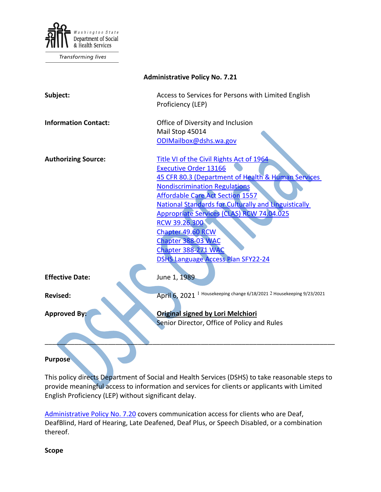

Transforming lives

| <b>Administrative Policy No. 7.21</b> |                                                                                                                                                                                                                                                                                                                                                                                                                                                               |
|---------------------------------------|---------------------------------------------------------------------------------------------------------------------------------------------------------------------------------------------------------------------------------------------------------------------------------------------------------------------------------------------------------------------------------------------------------------------------------------------------------------|
| Subject:                              | Access to Services for Persons with Limited English<br>Proficiency (LEP)                                                                                                                                                                                                                                                                                                                                                                                      |
| <b>Information Contact:</b>           | Office of Diversity and Inclusion<br>Mail Stop 45014<br>ODIMailbox@dshs.wa.gov                                                                                                                                                                                                                                                                                                                                                                                |
| <b>Authorizing Source:</b>            | Title VI of the Civil Rights Act of 1964<br><b>Executive Order 13166</b><br>45 CFR 80.3 (Department of Health & Human Services<br><b>Nondiscrimination Regulations</b><br><b>Affordable Care Act Section 1557</b><br><b>National Standards for Culturally and Linguistically</b><br>Appropriate Services (CLAS) RCW 74.04.025<br>RCW 39.26.300<br>Chapter 49.60 RCW<br>Chapter 388-03 WAC<br>Chapter 388-271 WAC<br><b>DSHS Language Access Plan SFY22-24</b> |
| <b>Effective Date:</b>                | June 1, 1989                                                                                                                                                                                                                                                                                                                                                                                                                                                  |
| Revised:                              | April 6, 2021 <sup>1</sup> Housekeeping change 6/18/2021 2 Housekeeping 9/23/2021                                                                                                                                                                                                                                                                                                                                                                             |
| <b>Approved By:</b>                   | <b>Original signed by Lori Melchiori</b><br>Senior Director, Office of Policy and Rules                                                                                                                                                                                                                                                                                                                                                                       |
| <b>Purpose</b>                        |                                                                                                                                                                                                                                                                                                                                                                                                                                                               |

This policy directs Department of Social and Health Services (DSHS) to take reasonable steps to provide meaningful access to information and services for clients or applicants with Limited English Proficiency (LEP) without significant delay.

[Administrative Policy No. 7.20](http://one.dshs.wa.lcl/Policies/Administrative/DSHS-AP-07-20.pdf) covers communication access for clients who are Deaf, DeafBlind, Hard of Hearing, Late Deafened, Deaf Plus, or Speech Disabled, or a combination thereof.

**Scope**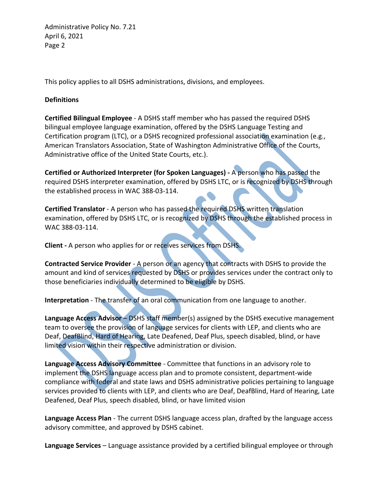This policy applies to all DSHS administrations, divisions, and employees.

## **Definitions**

**Certified Bilingual Employee** - A DSHS staff member who has passed the required DSHS bilingual employee language examination, offered by the DSHS Language Testing and Certification program (LTC), or a DSHS recognized professional association examination (e.g., American Translators Association, State of Washington Administrative Office of the Courts, Administrative office of the United State Courts, etc.).

**Certified or Authorized Interpreter (for Spoken Languages) -** A person who has passed the required DSHS interpreter examination, offered by DSHS LTC, or is recognized by DSHS through the established process in WAC 388-03-114.

**Certified Translator** - A person who has passed the required DSHS written translation examination, offered by DSHS LTC, or is recognized by DSHS through the established process in WAC 388-03-114.

**Client -** A person who applies for or receives services from DSHS.

**Contracted Service Provider** - A person or an agency that contracts with DSHS to provide the amount and kind of services requested by DSHS or provides services under the contract only to those beneficiaries individually determined to be eligible by DSHS.

**Interpretation** - The transfer of an oral communication from one language to another.

**Language Access Advisor** – DSHS staff member(s) assigned by the DSHS executive management team to oversee the provision of language services for clients with LEP, and clients who are Deaf, DeafBlind, Hard of Hearing, Late Deafened, Deaf Plus, speech disabled, blind, or have limited vision within their respective administration or division.

**Language Access Advisory Committee** - Committee that functions in an advisory role to implement the DSHS language access plan and to promote consistent, department-wide compliance with federal and state laws and DSHS administrative policies pertaining to language services provided to clients with LEP, and clients who are Deaf, DeafBlind, Hard of Hearing, Late Deafened, Deaf Plus, speech disabled, blind, or have limited vision

**Language Access Plan** - The current DSHS language access plan, drafted by the language access advisory committee, and approved by DSHS cabinet.

**Language Services** – Language assistance provided by a certified bilingual employee or through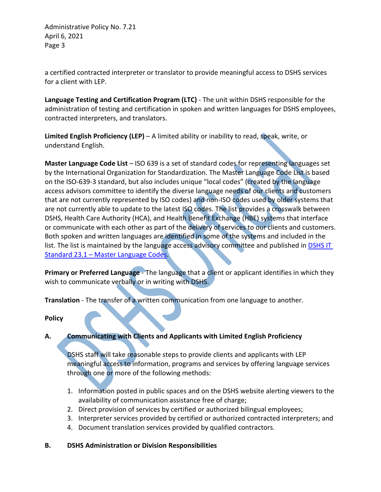a certified contracted interpreter or translator to provide meaningful access to DSHS services for a client with LEP.

**Language Testing and Certification Program (LTC)** - The unit within DSHS responsible for the administration of testing and certification in spoken and written languages for DSHS employees, contracted interpreters, and translators.

**Limited English Proficiency (LEP)** – A limited ability or inability to read, speak, write, or understand English.

**Master Language Code List** – ISO 639 is a set of standard codes for representing languages set by the International Organization for Standardization. The Master Language Code List is based on the ISO-639-3 standard, but also includes unique "local codes" (created by the language access advisors committee to identify the diverse language needs of our clients and customers that are not currently represented by ISO codes) and non-ISO codes used by older systems that are not currently able to update to the latest ISO codes. The list provides a crosswalk between DSHS, Health Care Authority (HCA), and Health Benefit Exchange (HBE) systems that interface or communicate with each other as part of the delivery of services to our clients and customers. Both spoken and written languages are identified in some of the systems and included in the list. The list is maintained by the language access advisory committee and published in **DSHS IT** Standard 23.1 – [Master Language Codes.](http://intra.dshs.wa.lcl/itstandards/ITStandard23.1.stm)

**Primary or Preferred Language** - The language that a client or applicant identifies in which they wish to communicate verbally or in writing with DSHS.

**Translation** - The transfer of a written communication from one language to another.

**Policy**

# **A. Communicating with Clients and Applicants with Limited English Proficiency**

DSHS staff will take reasonable steps to provide clients and applicants with LEP meaningful access to information, programs and services by offering language services through one or more of the following methods:

- 1. Information posted in public spaces and on the DSHS website alerting viewers to the availability of communication assistance free of charge;
- 2. Direct provision of services by certified or authorized bilingual employees;
- 3. Interpreter services provided by certified or authorized contracted interpreters; and
- 4. Document translation services provided by qualified contractors.

## **B. DSHS Administration or Division Responsibilities**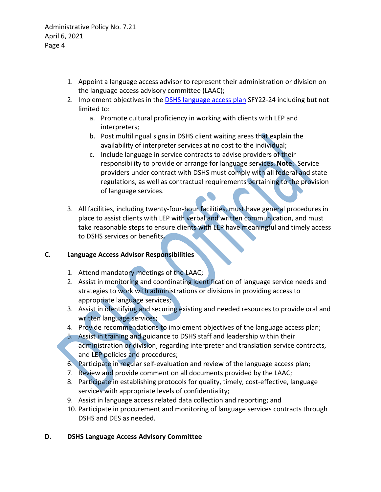- 1. Appoint a language access advisor to represent their administration or division on the language access advisory committee (LAAC);
- 2. Implement objectives in the [DSHS language access plan](http://one.dshs.wa.lcl/ODI/Access/LanguageAccessAdvisory/Documents/SFY22-24%20DSHS%20Language%20Access%20Plan%20.pdf) SFY22-24 including but not limited to:
	- a. Promote cultural proficiency in working with clients with LEP and interpreters;
	- b. Post multilingual signs in DSHS client waiting areas that explain the availability of interpreter services at no cost to the individual;
	- c. Include language in service contracts to advise providers of their responsibility to provide or arrange for language services. **Note**: Service providers under contract with DSHS must comply with all federal and state regulations, as well as contractual requirements pertaining to the provision of language services.
- 3. All facilities, including twenty-four-hour facilities, must have general procedures in place to assist clients with LEP with verbal and written communication, and must take reasonable steps to ensure clients with LEP have meaningful and timely access to DSHS services or benefits**.**

## **C. Language Access Advisor Responsibilities**

- 1. Attend mandatory meetings of the LAAC;
- 2. Assist in monitoring and coordinating identification of language service needs and strategies to work with administrations or divisions in providing access to appropriate language services;
- 3. Assist in identifying and securing existing and needed resources to provide oral and written language services;
- 4. Provide recommendations to implement objectives of the language access plan;
- 5. Assist in training and guidance to DSHS staff and leadership within their administration or division, regarding interpreter and translation service contracts, and LEP policies and procedures;
- 6. Participate in regular self-evaluation and review of the language access plan;
- 7. Review and provide comment on all documents provided by the LAAC;
- 8. Participate in establishing protocols for quality, timely, cost-effective, language services with appropriate levels of confidentiality;
- 9. Assist in language access related data collection and reporting; and
- 10. Participate in procurement and monitoring of language services contracts through DSHS and DES as needed.

## **D. DSHS Language Access Advisory Committee**